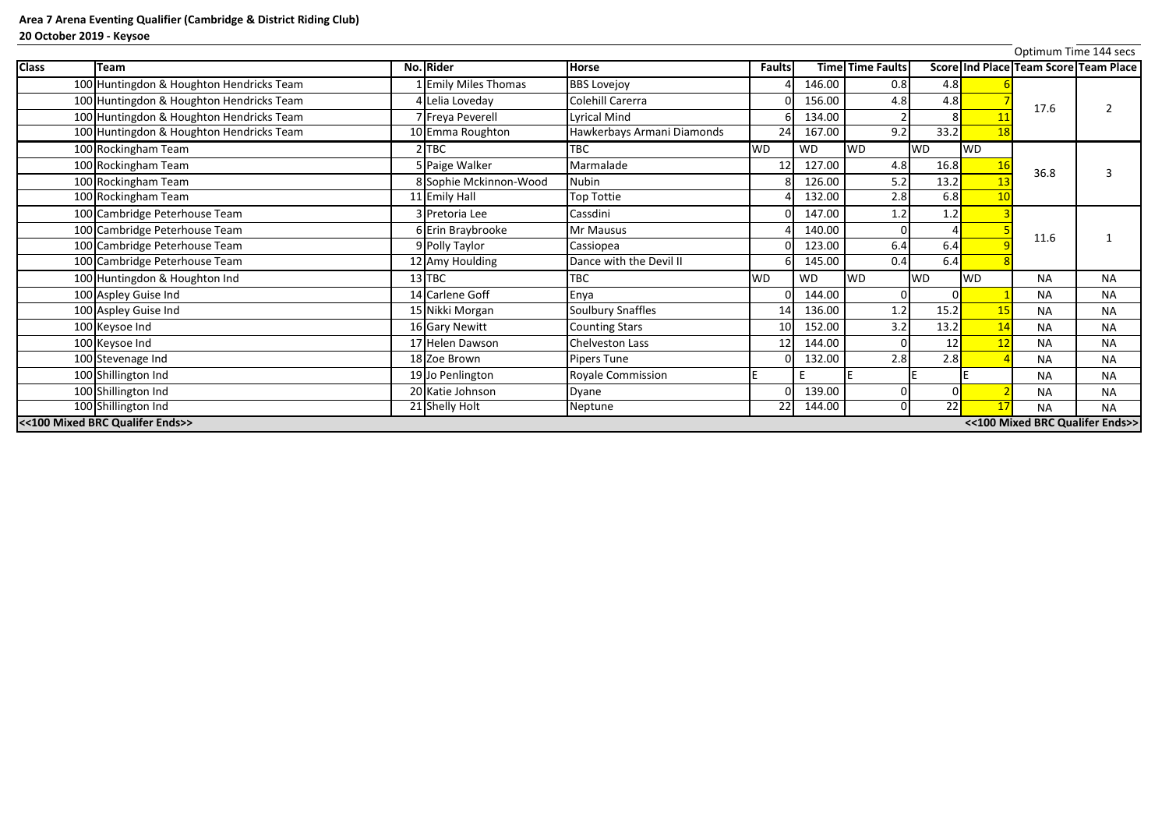| <b>Class</b> | Team                                                               | No. Rider                 | <b>Horse</b>               | <b>Faults</b>   |           | <b>Time Time Faults</b> |                 |           | Score Ind Place Team Score Team Place |           |  |
|--------------|--------------------------------------------------------------------|---------------------------|----------------------------|-----------------|-----------|-------------------------|-----------------|-----------|---------------------------------------|-----------|--|
|              | 100 Huntingdon & Houghton Hendricks Team                           | <b>Emily Miles Thomas</b> | <b>BBS Lovejoy</b>         |                 | 146.00    | 0.8                     | 4.8             |           |                                       |           |  |
|              | 100 Huntingdon & Houghton Hendricks Team                           | 4 Lelia Loveday           | Colehill Carerra           |                 | 156.00    | 4.8                     | 4.8             |           |                                       |           |  |
|              | 100 Huntingdon & Houghton Hendricks Team                           | 7 Freya Peverell          | <b>Lyrical Mind</b>        |                 | 134.00    |                         |                 |           | 17.6                                  |           |  |
|              | 100 Huntingdon & Houghton Hendricks Team                           | 10 Emma Roughton          | Hawkerbays Armani Diamonds | 24              | 167.00    | 9.2                     | 33.2            | 18        |                                       |           |  |
|              | 100 Rockingham Team                                                | $2$ TBC                   | <b>TBC</b>                 | <b>WD</b>       | <b>WD</b> | <b>WD</b>               | <b>WD</b>       | <b>WD</b> |                                       |           |  |
|              | 100 Rockingham Team                                                | 5 Paige Walker            | Marmalade                  |                 | 127.00    | 4.8                     | 16.8            |           | 36.8                                  |           |  |
|              | 100 Rockingham Team                                                | 8 Sophie Mckinnon-Wood    | <b>Nubin</b>               |                 | 126.00    | 5.2                     | 13.2            |           |                                       |           |  |
|              | 100 Rockingham Team                                                | 11 Emily Hall             | Top Tottie                 |                 | 132.00    | 2.8                     | 6.8             | 10        |                                       |           |  |
|              | 100 Cambridge Peterhouse Team                                      | 3 Pretoria Lee            | Cassdini                   |                 | 147.00    | 1.2                     | 1.2             |           |                                       |           |  |
|              | 100 Cambridge Peterhouse Team                                      | 6 Erin Braybrooke         | Mr Mausus                  |                 | 140.00    |                         |                 |           |                                       |           |  |
|              | 100 Cambridge Peterhouse Team                                      | 9 Polly Taylor            | Cassiopea                  |                 | 123.00    | 6.4                     | 6.4             |           | 11.6                                  |           |  |
|              | 100 Cambridge Peterhouse Team                                      | 12 Amy Houlding           | Dance with the Devil II    |                 | 145.00    | 0.4                     | 6.4             |           |                                       |           |  |
|              | 100 Huntingdon & Houghton Ind                                      | $13$ TBC                  | <b>TBC</b>                 | <b>WD</b>       | <b>WD</b> | <b>WD</b>               | <b>WD</b>       | <b>WD</b> | <b>NA</b>                             | <b>NA</b> |  |
|              | 100 Aspley Guise Ind                                               | 14 Carlene Goff           | Enya                       |                 | 144.00    |                         |                 |           | <b>NA</b>                             | <b>NA</b> |  |
|              | 100 Aspley Guise Ind                                               | 15 Nikki Morgan           | <b>Soulbury Snaffles</b>   | 14              | 136.00    | 1.2                     | 15.2            |           | <b>NA</b>                             | <b>NA</b> |  |
|              | 100 Keysoe Ind                                                     | 16 Gary Newitt            | <b>Counting Stars</b>      | 10 <sup>1</sup> | 152.00    | 3.2                     | 13.2            |           | <b>NA</b>                             | <b>NA</b> |  |
|              | 100 Keysoe Ind                                                     | 17 Helen Dawson           | <b>Chelveston Lass</b>     | 12              | 144.00    |                         | 12              |           | <b>NA</b>                             | <b>NA</b> |  |
|              | 100 Stevenage Ind                                                  | 18 Zoe Brown              | Pipers Tune                |                 | 132.00    | 2.8                     | 2.8             |           | <b>NA</b>                             | <b>NA</b> |  |
|              | 100 Shillington Ind                                                | 19 Jo Penlington          | <b>Royale Commission</b>   |                 |           |                         |                 |           | <b>NA</b>                             | <b>NA</b> |  |
|              | 100 Shillington Ind                                                | 20 Katie Johnson          | Dyane                      |                 | 139.00    |                         |                 |           | <b>NA</b>                             | <b>NA</b> |  |
|              | 100 Shillington Ind                                                | 21 Shelly Holt            | Neptune                    | $\overline{22}$ | 144.00    | ΩI                      | $\overline{22}$ | 17        | <b>NA</b>                             | <b>NA</b> |  |
|              | <<100 Mixed BRC Qualifer Ends>><br><<100 Mixed BRC Qualifer Ends>> |                           |                            |                 |           |                         |                 |           |                                       |           |  |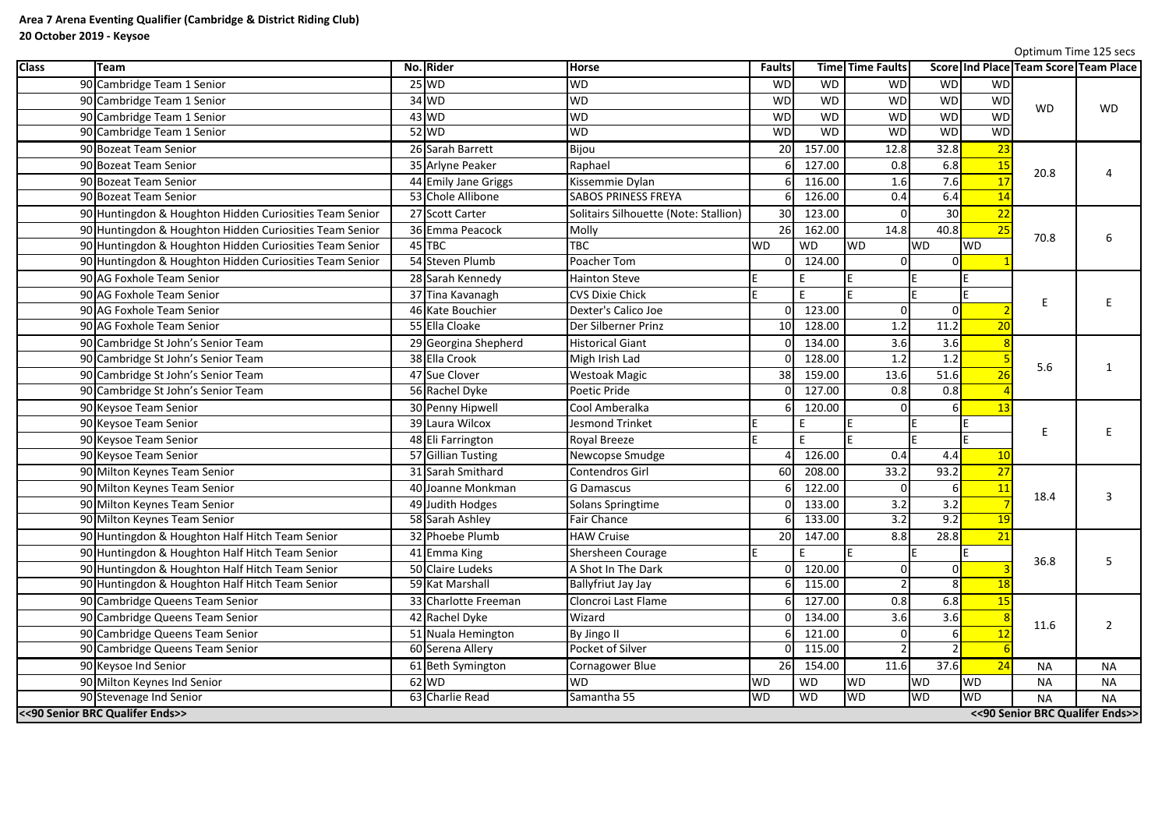|              |                                                         |                      |                                       |                 |           |                         |                 |                 | Optimum Time 125 secs                        |                |
|--------------|---------------------------------------------------------|----------------------|---------------------------------------|-----------------|-----------|-------------------------|-----------------|-----------------|----------------------------------------------|----------------|
| <b>Class</b> | <b>Team</b>                                             | No. Rider            | <b>Horse</b>                          | <b>Faults</b>   |           | <b>Time Time Faults</b> |                 |                 | <b>Score Ind Place Team Score Team Place</b> |                |
|              | 90 Cambridge Team 1 Senior                              | $25$ WD              | <b>WD</b>                             | <b>WD</b>       | <b>WD</b> | <b>WD</b>               | <b>WD</b>       | <b>WD</b>       |                                              |                |
|              | 90 Cambridge Team 1 Senior                              | $34$ WD              | <b>WD</b>                             | <b>WD</b>       | <b>WD</b> | <b>WD</b>               | <b>WD</b>       | WD              | <b>WD</b>                                    | <b>WD</b>      |
|              | 90 Cambridge Team 1 Senior                              | $43$ WD              | <b>WD</b>                             | <b>WD</b>       | <b>WD</b> | <b>WD</b>               | <b>WD</b>       | <b>WD</b>       |                                              |                |
|              | 90 Cambridge Team 1 Senior                              | $52$ WD              | <b>WD</b>                             | <b>WD</b>       | <b>WD</b> | <b>WD</b>               | <b>WD</b>       | <b>WD</b>       |                                              |                |
|              | 90 Bozeat Team Senior                                   | 26 Sarah Barrett     | Bijou                                 | 20              | 157.00    | 12.8                    | 32.8            | 23              |                                              |                |
|              | 90 Bozeat Team Senior                                   | 35 Arlyne Peaker     | Raphael                               |                 | 127.00    | 0.8                     | 6.8             | 15              |                                              |                |
|              | 90 Bozeat Team Senior                                   | 44 Emily Jane Griggs | Kissemmie Dylan                       |                 | 116.00    | 1.6                     | 7.6             | 17              | 20.8                                         |                |
|              | 90 Bozeat Team Senior                                   | 53 Chole Allibone    | <b>SABOS PRINESS FREYA</b>            |                 | 126.00    | 0.4                     | 6.4             | 14              |                                              |                |
|              | 90 Huntingdon & Houghton Hidden Curiosities Team Senior | 27 Scott Carter      | Solitairs Silhouette (Note: Stallion) | 30 <sup>l</sup> | 123.00    |                         | 30 <sup>1</sup> | 22              |                                              |                |
|              | 90 Huntingdon & Houghton Hidden Curiosities Team Senior | 36 Emma Peacock      | Molly                                 | 26              | 162.00    | 14.8                    | 40.8            | 25              |                                              |                |
|              | 90 Huntingdon & Houghton Hidden Curiosities Team Senior | 45TBC                | TBC                                   | <b>WD</b>       | <b>WD</b> | <b>WD</b>               | <b>WD</b>       | <b>WD</b>       | 70.8                                         |                |
|              | 90 Huntingdon & Houghton Hidden Curiosities Team Senior | 54 Steven Plumb      | Poacher Tom                           | ΩL              | 124.00    |                         |                 |                 |                                              |                |
|              | 90 AG Foxhole Team Senior                               | 28 Sarah Kennedy     | <b>Hainton Steve</b>                  |                 | E         |                         |                 |                 |                                              |                |
|              | 90 AG Foxhole Team Senior                               | 37 Tina Kavanagh     | <b>CVS Dixie Chick</b>                |                 | E         |                         |                 |                 |                                              |                |
|              | 90 AG Foxhole Team Senior                               | 46 Kate Bouchier     | Dexter's Calico Joe                   | ΩI              | 123.00    |                         |                 |                 | Ε                                            |                |
|              | 90 AG Foxhole Team Senior                               | 55 Ella Cloake       | Der Silberner Prinz                   | 10 <sup>1</sup> | 128.00    | 1.2                     | 11.2            | 20              |                                              |                |
|              | 90 Cambridge St John's Senior Team                      | 29 Georgina Shepherd | <b>Historical Giant</b>               |                 | 134.00    | 3.6                     | 3.6             |                 |                                              |                |
|              | 90 Cambridge St John's Senior Team                      | 38 Ella Crook        | Migh Irish Lad                        |                 | 128.00    | 1.2                     | 1.2             |                 |                                              |                |
|              | 90 Cambridge St John's Senior Team                      | 47 Sue Clover        | <b>Westoak Magic</b>                  | 38              | 159.00    | 13.6                    | 51.6            | $\overline{26}$ | 5.6                                          |                |
|              | 90 Cambridge St John's Senior Team                      | 56 Rachel Dyke       | Poetic Pride                          |                 | 127.00    | 0.8                     | 0.8             |                 |                                              |                |
|              | 90 Keysoe Team Senior                                   | 30 Penny Hipwell     | Cool Amberalka                        |                 | 120.00    |                         |                 | 13              |                                              |                |
|              | 90 Keysoe Team Senior                                   | 39 Laura Wilcox      | <b>Jesmond Trinket</b>                |                 |           |                         |                 |                 |                                              |                |
|              | 90 Keysoe Team Senior                                   | 48 Eli Farrington    | <b>Royal Breeze</b>                   |                 | c.        |                         |                 |                 | E                                            |                |
|              | 90 Keysoe Team Senior                                   | 57 Gillian Tusting   | Newcopse Smudge                       |                 | 126.00    | 0.4                     | 4.4             | 10              |                                              |                |
|              | 90 Milton Keynes Team Senior                            | 31 Sarah Smithard    | Contendros Girl                       | 60              | 208.00    | $33.\overline{2}$       | 93.2            | 27              |                                              |                |
|              | 90 Milton Keynes Team Senior                            | 40 Joanne Monkman    | <b>G</b> Damascus                     | 61              | 122.00    |                         | 6I              | <u>11</u>       |                                              |                |
|              | 90 Milton Keynes Team Senior                            | 49 Judith Hodges     | Solans Springtime                     |                 | 133.00    | 3.2                     | 3.2             |                 | 18.4                                         | $\overline{3}$ |
|              | 90 Milton Keynes Team Senior                            | 58 Sarah Ashley      | <b>Fair Chance</b>                    |                 | 133.00    | 3.2                     | 9.2             | <b>19</b>       |                                              |                |
|              | 90 Huntingdon & Houghton Half Hitch Team Senior         | 32 Phoebe Plumb      | <b>HAW Cruise</b>                     | 20 <sup>1</sup> | 147.00    | 8.8                     | 28.8            | 21              |                                              |                |
|              | 90 Huntingdon & Houghton Half Hitch Team Senior         | 41 Emma King         | Shersheen Courage                     |                 |           |                         |                 |                 |                                              |                |
|              | 90 Huntingdon & Houghton Half Hitch Team Senior         | 50 Claire Ludeks     | A Shot In The Dark                    |                 | 120.00    |                         |                 |                 | 36.8                                         | .5             |
|              | 90 Huntingdon & Houghton Half Hitch Team Senior         | 59 Kat Marshall      | <b>Ballyfriut Jay Jay</b>             |                 | 115.00    |                         |                 | <b>18</b>       |                                              |                |
|              | 90 Cambridge Queens Team Senior                         | 33 Charlotte Freeman | Cloncroi Last Flame                   |                 | 127.00    | 0.8                     | 6.8             | <b>15</b>       |                                              |                |
|              | 90 Cambridge Queens Team Senior                         | 42 Rachel Dyke       | Wizard                                |                 | 134.00    | 3.6                     | 3.6             |                 |                                              |                |
|              | 90 Cambridge Queens Team Senior                         | 51 Nuala Hemington   | By Jingo II                           |                 | 121.00    |                         |                 |                 | 11.6                                         | $\overline{2}$ |
|              | 90 Cambridge Queens Team Senior                         | 60 Serena Allery     | Pocket of Silver                      |                 | 115.00    |                         |                 |                 |                                              |                |
|              | 90 Keysoe Ind Senior                                    | 61 Beth Symington    | Cornagower Blue                       | 26              | 154.00    | 11.6                    | 37.6            | 24              | <b>NA</b>                                    | <b>NA</b>      |
|              | 90 Milton Keynes Ind Senior                             | $62$ WD              | <b>WD</b>                             | <b>WD</b>       | <b>WD</b> | WD                      | <b>WD</b>       | <b>WD</b>       | <b>NA</b>                                    | <b>NA</b>      |
|              | 90 Stevenage Ind Senior                                 | 63 Charlie Read      | Samantha 55                           | <b>WD</b>       | <b>WD</b> | <b>WD</b>               | <b>WD</b>       | <b>WD</b>       | <b>NA</b>                                    | <b>NA</b>      |
|              | << 90 Senior BRC Qualifer Ends>>                        |                      |                                       |                 |           |                         |                 |                 | << 90 Senior BRC Qualifer Ends>>             |                |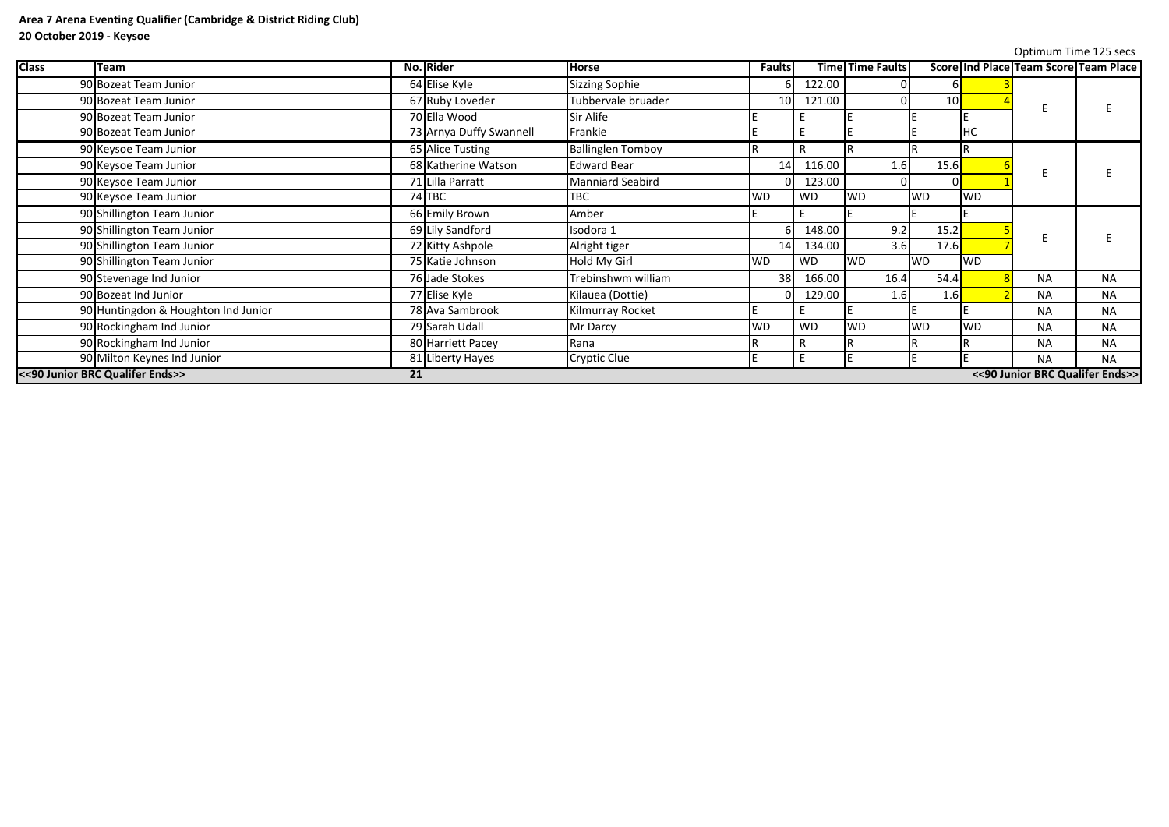|              |                                     |    |                         |                          |                 |              |                         |           |           |                                       | Optimum Time 125 secs |
|--------------|-------------------------------------|----|-------------------------|--------------------------|-----------------|--------------|-------------------------|-----------|-----------|---------------------------------------|-----------------------|
| <b>Class</b> | <b>Team</b>                         |    | No. Rider               | <b>Horse</b>             | <b>Faults</b>   |              | <b>Time Time Faults</b> |           |           | Score Ind Place Team Score Team Place |                       |
|              | 90 Bozeat Team Junior               |    | 64 Elise Kyle           | <b>Sizzing Sophie</b>    |                 | 122.00       |                         |           |           |                                       |                       |
|              | 90 Bozeat Team Junior               |    | 67 Ruby Loveder         | Tubbervale bruader       | 10 <sup>1</sup> | 121.00       |                         | 10        |           |                                       |                       |
|              | 90 Bozeat Team Junior               |    | 70 Ella Wood            | Sir Alife                |                 |              |                         |           |           |                                       |                       |
|              | 90 Bozeat Team Junior               |    | 73 Arnya Duffy Swannell | Frankie                  |                 |              |                         |           | HC        |                                       |                       |
|              | 90 Keysoe Team Junior               |    | 65 Alice Tusting        | <b>Ballinglen Tomboy</b> |                 |              |                         |           |           |                                       |                       |
|              | 90 Keysoe Team Junior               |    | 68 Katherine Watson     | <b>Edward Bear</b>       | 14              | 116.00       | 1.6                     | 15.6      |           |                                       |                       |
|              | 90 Keysoe Team Junior               |    | 71 Lilla Parratt        | <b>Manniard Seabird</b>  |                 | 123.00       |                         |           |           |                                       |                       |
|              | 90 Keysoe Team Junior               |    | 74 TBC                  | <b>TBC</b>               | <b>WD</b>       | <b>WD</b>    | <b>WD</b>               | <b>WD</b> | <b>WD</b> |                                       |                       |
|              | 90 Shillington Team Junior          |    | 66 Emily Brown          | Amber                    |                 |              |                         |           |           |                                       |                       |
|              | 90 Shillington Team Junior          |    | 69 Lily Sandford        | Isodora 1                |                 | 148.00       | 9.2                     | 15.2      |           |                                       |                       |
|              | 90 Shillington Team Junior          |    | 72 Kitty Ashpole        | Alright tiger            | 14              | 134.00       | 3.6                     | 17.6      |           |                                       |                       |
|              | 90 Shillington Team Junior          |    | 75 Katie Johnson        | Hold My Girl             | <b>WD</b>       | <b>WD</b>    | <b>WD</b>               | <b>WD</b> | <b>WD</b> |                                       |                       |
|              | 90 Stevenage Ind Junior             |    | 76 Jade Stokes          | Trebinshwm william       | 38              | 166.00       | 16.4                    | 54.4      |           | <b>NA</b>                             | <b>NA</b>             |
|              | 90 Bozeat Ind Junior                |    | 77 Elise Kyle           | Kilauea (Dottie)         |                 | 129.00       | 1.6                     | 1.6       |           | <b>NA</b>                             | <b>NA</b>             |
|              | 90 Huntingdon & Houghton Ind Junior |    | 78 Ava Sambrook         | Kilmurray Rocket         |                 |              |                         |           |           | <b>NA</b>                             | <b>NA</b>             |
|              | 90 Rockingham Ind Junior            |    | 79 Sarah Udall          | Mr Darcy                 | <b>WD</b>       | <b>WD</b>    | <b>WD</b>               | <b>WD</b> | <b>WD</b> | <b>NA</b>                             | <b>NA</b>             |
|              | 90 Rockingham Ind Junior            |    | 80 Harriett Pacey       | Rana                     |                 | $\mathsf{R}$ |                         |           |           | <b>NA</b>                             | <b>NA</b>             |
|              | 90 Milton Keynes Ind Junior         |    | 81 Liberty Hayes        | <b>Cryptic Clue</b>      |                 |              |                         |           |           | <b>NA</b>                             | <b>NA</b>             |
|              | << 90 Junior BRC Qualifer Ends>>    | 21 |                         |                          |                 |              |                         |           |           | << 90 Junior BRC Qualifer Ends>>      |                       |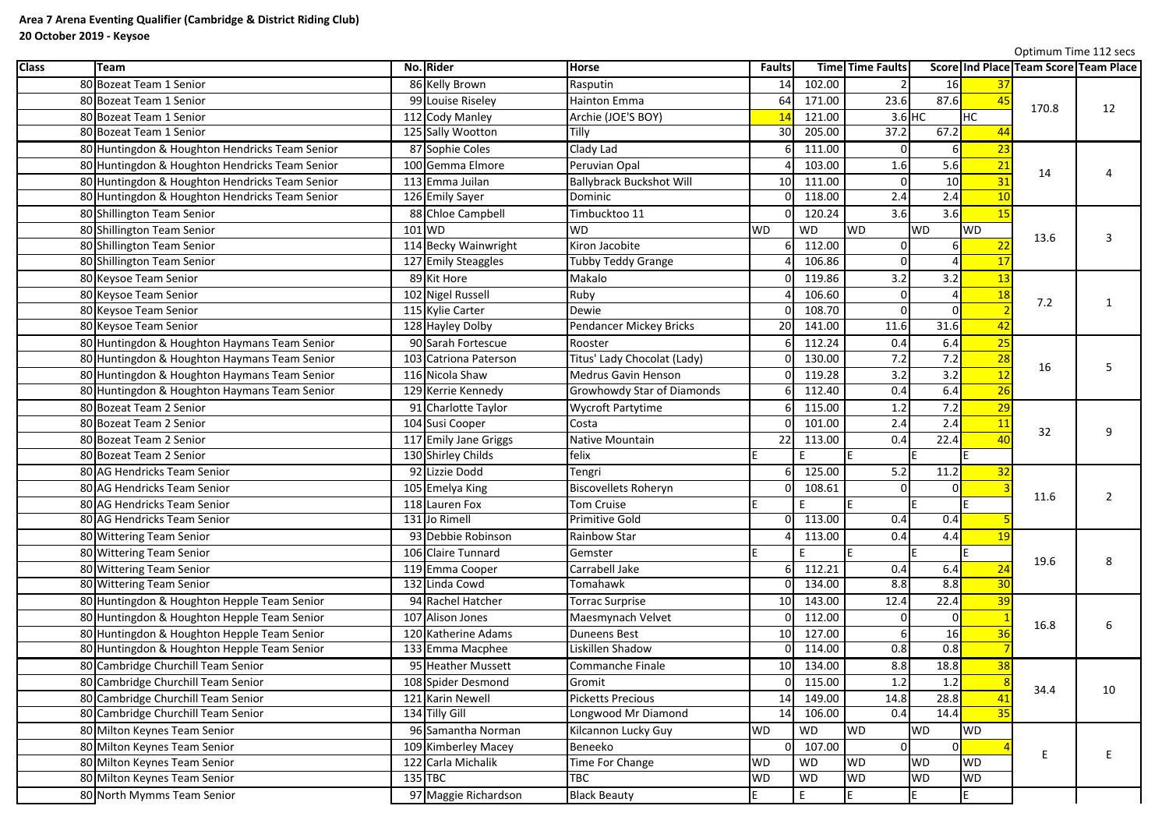|              |                                                |                       |                                   |                 |           |                         |           |                 | Optimum Time 112 secs |                                       |
|--------------|------------------------------------------------|-----------------------|-----------------------------------|-----------------|-----------|-------------------------|-----------|-----------------|-----------------------|---------------------------------------|
| <b>Class</b> | Team                                           | No. Rider             | <b>Horse</b>                      | <b>Faults</b>   |           | <b>Time Time Faults</b> |           |                 |                       | Score Ind Place Team Score Team Place |
|              | 80 Bozeat Team 1 Senior                        | 86 Kelly Brown        | Rasputin                          | 14              | 102.00    |                         | 16        | 37              |                       |                                       |
|              | 80 Bozeat Team 1 Senior                        | 99 Louise Riseley     | <b>Hainton Emma</b>               | 64              | 171.00    | 23.6                    | 87.6      | 45              | 170.8                 | 12                                    |
|              | 80 Bozeat Team 1 Senior                        | 112 Cody Manley       | Archie (JOE'S BOY)                | 14              | 121.00    |                         | $3.6$ HC  | <b>HC</b>       |                       |                                       |
|              | 80 Bozeat Team 1 Senior                        | 125 Sally Wootton     | Tilly                             | 30 <sup>l</sup> | 205.00    | 37.2                    | 67.2      | 44              |                       |                                       |
|              | 80 Huntingdon & Houghton Hendricks Team Senior | 87 Sophie Coles       | Clady Lad                         |                 | 111.00    |                         |           | 23              |                       |                                       |
|              | 80 Huntingdon & Houghton Hendricks Team Senior | 100 Gemma Elmore      | Peruvian Opal                     |                 | 103.00    | 1.6                     | 5.6       | 21              | 14                    |                                       |
|              | 80 Huntingdon & Houghton Hendricks Team Senior | 113 Emma Juilan       | <b>Ballybrack Buckshot Will</b>   | 10 <sup>1</sup> | 111.00    |                         | 10        | 31              |                       |                                       |
|              | 80 Huntingdon & Houghton Hendricks Team Senior | 126 Emily Sayer       | Dominic                           |                 | 118.00    | 2.4                     | 2.4       | 10              |                       |                                       |
|              | 80 Shillington Team Senior                     | 88 Chloe Campbell     | Timbucktoo 11                     |                 | 120.24    | 3.6                     | 3.6       | <b>15</b>       |                       |                                       |
|              | 80 Shillington Team Senior                     | $101$ WD              | <b>WD</b>                         | <b>WD</b>       | <b>WD</b> | <b>WD</b>               | <b>WD</b> | <b>WD</b>       |                       |                                       |
|              | 80 Shillington Team Senior                     | 114 Becky Wainwright  | Kiron Jacobite                    |                 | 112.00    |                         |           | 2 <sub>2</sub>  | 13.6                  |                                       |
|              | 80 Shillington Team Senior                     | 127 Emily Steaggles   | <b>Tubby Teddy Grange</b>         |                 | 106.86    |                         |           | 17              |                       |                                       |
|              | 80 Keysoe Team Senior                          | 89 Kit Hore           | Makalo                            |                 | 119.86    | 3.2                     | 3.2       | 13              |                       |                                       |
|              | 80 Keysoe Team Senior                          | 102 Nigel Russell     | Ruby                              |                 | 106.60    |                         |           | 18              |                       |                                       |
|              | 80 Keysoe Team Senior                          | 115 Kylie Carter      | Dewie                             |                 | 108.70    |                         |           |                 | 7.2                   |                                       |
|              | 80 Keysoe Team Senior                          | 128 Hayley Dolby      | Pendancer Mickey Bricks           | 20              | 141.00    | 11.6                    | 31.6      | 42              |                       |                                       |
|              | 80 Huntingdon & Houghton Haymans Team Senior   | 90 Sarah Fortescue    | Rooster                           |                 | 112.24    | 0.4                     | 6.4       | 25              |                       |                                       |
|              | 80 Huntingdon & Houghton Haymans Team Senior   | 103 Catriona Paterson | Titus' Lady Chocolat (Lady)       |                 | 130.00    | 7.2                     | 7.2       | 28              |                       |                                       |
|              | 80 Huntingdon & Houghton Haymans Team Senior   | 116 Nicola Shaw       | <b>Medrus Gavin Henson</b>        |                 | 119.28    | 3.2                     | 3.2       | 12              | 16                    |                                       |
|              | 80 Huntingdon & Houghton Haymans Team Senior   | 129 Kerrie Kennedy    | <b>Growhowdy Star of Diamonds</b> |                 | 112.40    | 0.4                     | 6.4       | $\overline{26}$ |                       |                                       |
|              | 80 Bozeat Team 2 Senior                        | 91 Charlotte Taylor   | <b>Wycroft Partytime</b>          |                 | 115.00    | 1.2                     | 7.2       | 29              |                       |                                       |
|              | 80 Bozeat Team 2 Senior                        | 104 Susi Cooper       | Costa                             |                 | 101.00    | 2.4                     | 2.4       | 11              | 32                    | q                                     |
|              | 80 Bozeat Team 2 Senior                        | 117 Emily Jane Griggs | Native Mountain                   | 22              | 113.00    | 0.4                     | 22.4      | 40              |                       |                                       |
|              | 80 Bozeat Team 2 Senior                        | 130 Shirley Childs    | felix                             |                 | F.        |                         |           | IF              |                       |                                       |
|              | 80 AG Hendricks Team Senior                    | 92 Lizzie Dodd        | Tengri                            |                 | 125.00    | 5.2                     | 11.2      | 32              |                       |                                       |
|              | 80 AG Hendricks Team Senior                    | 105 Emelya King       | <b>Biscovellets Roheryn</b>       | 01              | 108.61    |                         | 01        |                 |                       | $\overline{2}$                        |
|              | 80 AG Hendricks Team Senior                    | 118 Lauren Fox        | Tom Cruise                        |                 |           |                         |           |                 | 11.6                  |                                       |
|              | 80 AG Hendricks Team Senior                    | 131 Jo Rimell         | <b>Primitive Gold</b>             |                 | 113.00    | 0.4                     | 0.4       |                 |                       |                                       |
|              | 80 Wittering Team Senior                       | 93 Debbie Robinson    | <b>Rainbow Star</b>               |                 | 113.00    | 0.4                     | 4.4       | <b>19</b>       |                       |                                       |
|              | 80 Wittering Team Senior                       | 106 Claire Tunnard    | Gemster                           |                 |           |                         |           |                 |                       |                                       |
|              | 80 Wittering Team Senior                       | 119 Emma Cooper       | Carrabell Jake                    |                 | 112.21    | 0.4                     | 6.4       | 24              | 19.6                  | 8                                     |
|              | 80 Wittering Team Senior                       | 132 Linda Cowd        | Tomahawk                          |                 | 134.00    | 8.8                     | 8.8       | 30              |                       |                                       |
|              | 80 Huntingdon & Houghton Hepple Team Senior    | 94 Rachel Hatcher     | <b>Torrac Surprise</b>            | 10 <sup>1</sup> | 143.00    | 12.4                    | 22.4      | 39              |                       |                                       |
|              | 80 Huntingdon & Houghton Hepple Team Senior    | 107 Alison Jones      | Maesmynach Velvet                 |                 | 112.00    |                         |           |                 |                       |                                       |
|              | 80 Huntingdon & Houghton Hepple Team Senior    | 120 Katherine Adams   | <b>Duneens Best</b>               | 10 <sup>1</sup> | 127.00    |                         | 16        |                 | 16.8                  | 6                                     |
|              | 80 Huntingdon & Houghton Hepple Team Senior    | 133 Emma Macphee      | Liskillen Shadow                  |                 | 114.00    | 0.8                     | 0.8       |                 |                       |                                       |
|              | 80 Cambridge Churchill Team Senior             | 95 Heather Mussett    | Commanche Finale                  | 10 <sup>1</sup> | 134.00    | 8.8                     | 18.8      | 38              |                       |                                       |
|              | 80 Cambridge Churchill Team Senior             | 108 Spider Desmond    | Gromit                            |                 | 115.00    | 1.2                     | 1.2       |                 |                       |                                       |
|              | 80 Cambridge Churchill Team Senior             | 121 Karin Newell      | <b>Picketts Precious</b>          | 14              | 149.00    | 14.8                    | 28.8      |                 | 34.4                  | 10                                    |
|              | 80 Cambridge Churchill Team Senior             | 134 Tilly Gill        | Longwood Mr Diamond               | 14              | 106.00    | 0.4                     | 14.4      | 35              |                       |                                       |
|              | 80 Milton Keynes Team Senior                   | 96 Samantha Norman    | Kilcannon Lucky Guy               | <b>WD</b>       | <b>WD</b> | <b>WD</b>               | <b>WD</b> | <b>WD</b>       |                       |                                       |
|              | 80 Milton Keynes Team Senior                   | 109 Kimberley Macey   | <b>Beneeko</b>                    |                 | 107.00    |                         |           |                 | E                     |                                       |
|              | 80 Milton Keynes Team Senior                   | 122 Carla Michalik    | Time For Change                   | <b>WD</b>       | <b>WD</b> | <b>WD</b>               | <b>WD</b> | <b>WD</b>       |                       | E                                     |
|              | 80 Milton Keynes Team Senior                   | $135$ TBC             | <b>TBC</b>                        | <b>WD</b>       | <b>WD</b> | <b>WD</b>               | <b>WD</b> | <b>WD</b>       |                       |                                       |
|              | 80 North Mymms Team Senior                     | 97 Maggie Richardson  | <b>Black Beauty</b>               |                 | E         |                         |           | ΙE              |                       |                                       |
|              |                                                |                       |                                   |                 |           |                         |           |                 |                       |                                       |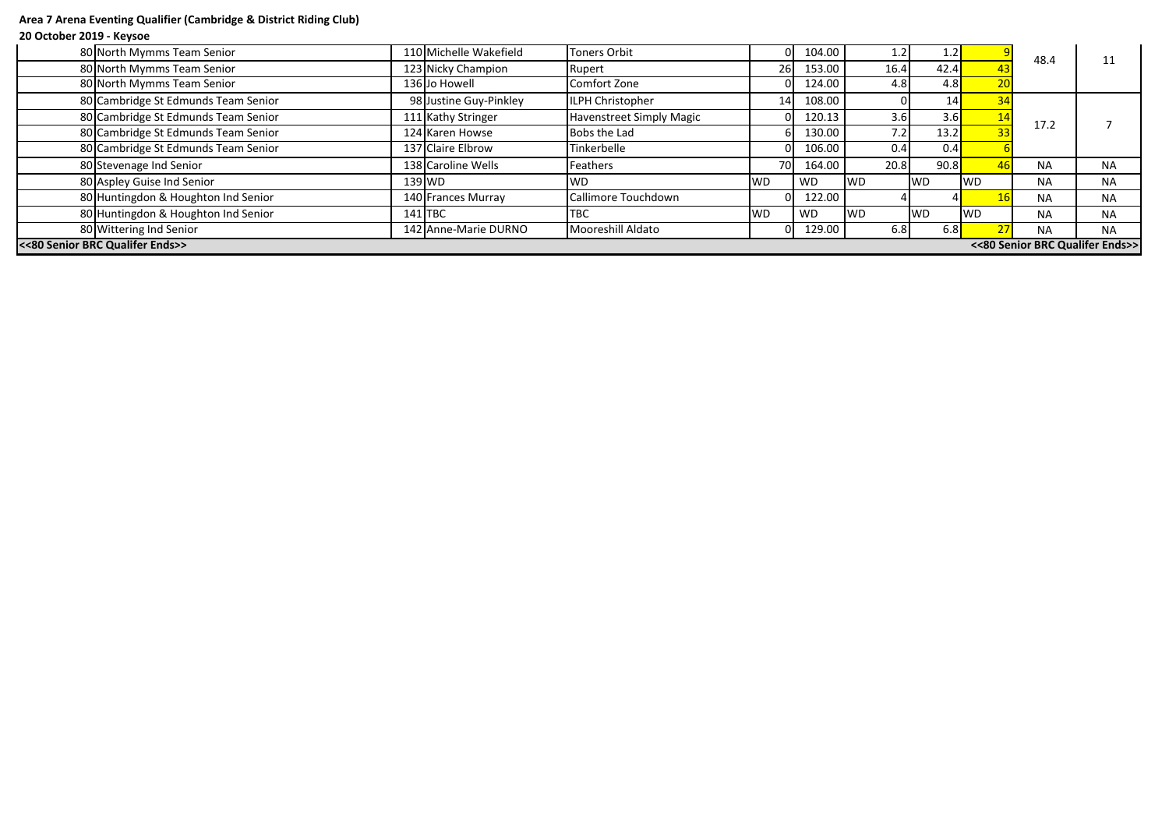# **Area 7 Arena Eventing Qualifier (Cambridge & District Riding Club)**

## **20 October 2019 - Keysoe**

| 80 North Mymms Team Senior                                         |           | 110 Michelle Wakefield | Toners Orbit                    | OI.       | 104.00 | ⊥.∠       | 1.2       |            | 48.4      |           |
|--------------------------------------------------------------------|-----------|------------------------|---------------------------------|-----------|--------|-----------|-----------|------------|-----------|-----------|
| 80 North Mymms Team Senior                                         |           | 123 Nicky Champion     | Rupert                          | 26I       | 153.00 | 16.4      | 42.4      |            |           |           |
| 80 North Mymms Team Senior                                         |           | 136 Jo Howell          | Comfort Zone                    |           | 124.00 | 4.8       | 4.8       |            |           |           |
| 80 Cambridge St Edmunds Team Senior                                |           | 98 Justine Guy-Pinkley | ILPH Christopher                | 14I       | 108.00 |           |           |            |           |           |
| 80 Cambridge St Edmunds Team Senior                                |           | 111 Kathy Stringer     | <b>Havenstreet Simply Magic</b> |           | 120.13 | 3.6       | 3.6       |            | 17.2      |           |
| 80 Cambridge St Edmunds Team Senior                                |           | 124 Karen Howse        | <b>Bobs the Lad</b>             |           | 130.00 | 7.2       | 13.2      |            |           |           |
| 80 Cambridge St Edmunds Team Senior                                |           | 137 Claire Elbrow      | Tinkerbelle                     |           | 106.00 | 0.4       | 0.4       |            |           |           |
| 80 Stevenage Ind Senior                                            |           | 138 Caroline Wells     | Feathers                        | 70I       | 164.00 | 20.8      | 90.8      |            | <b>NA</b> | <b>NA</b> |
| 80 Aspley Guise Ind Senior                                         |           | $139$ WD               | <b>WD</b>                       | <b>WD</b> | WD     | <b>WD</b> | <b>WD</b> | <b>WD</b>  | <b>NA</b> | <b>NA</b> |
| 80 Huntingdon & Houghton Ind Senior                                |           | 140 Frances Murray     | Callimore Touchdown             |           | 122.00 |           |           |            | <b>NA</b> | <b>NA</b> |
| 80 Huntingdon & Houghton Ind Senior                                | $141$ TBC |                        | <b>TBC</b>                      | <b>WD</b> | WD     | <b>WD</b> | <b>WD</b> | <b>IWD</b> | <b>NA</b> | <b>NA</b> |
| 80 Wittering Ind Senior                                            |           | 142 Anne-Marie DURNO   | Mooreshill Aldato               |           | 129.00 | 6.8       | 6.8       |            | <b>NA</b> | <b>NA</b> |
| <<80 Senior BRC Qualifer Ends>><br><<80 Senior BRC Qualifer Ends>> |           |                        |                                 |           |        |           |           |            |           |           |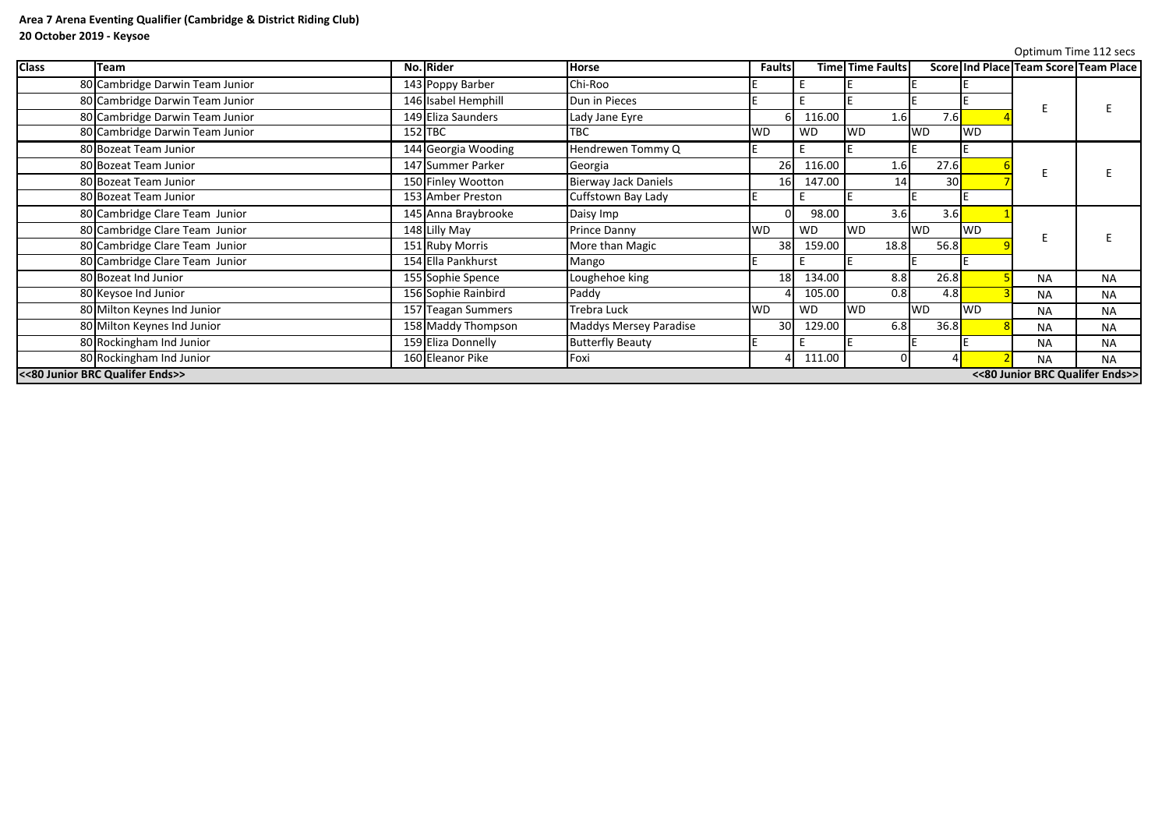|              |                                 |                     |                               |                 |           |                         |           |           |                                       | Optimum Time 112 secs |
|--------------|---------------------------------|---------------------|-------------------------------|-----------------|-----------|-------------------------|-----------|-----------|---------------------------------------|-----------------------|
| <b>Class</b> | <b>Team</b>                     | No. Rider           | <b>Horse</b>                  | <b>Faults</b>   |           | <b>Time Time Faults</b> |           |           | Score Ind Place Team Score Team Place |                       |
|              | 80 Cambridge Darwin Team Junior | 143 Poppy Barber    | Chi-Roo                       |                 |           |                         |           |           |                                       |                       |
|              | 80 Cambridge Darwin Team Junior | 146 Isabel Hemphill | Dun in Pieces                 |                 |           |                         |           |           |                                       |                       |
|              | 80 Cambridge Darwin Team Junior | 149 Eliza Saunders  | Lady Jane Eyre                |                 | 116.00    | 1.6                     | 7.6       |           |                                       |                       |
|              | 80 Cambridge Darwin Team Junior | $152$ TBC           | <b>TBC</b>                    | <b>WD</b>       | <b>WD</b> | <b>WD</b>               | <b>WD</b> | <b>WD</b> |                                       |                       |
|              | 80 Bozeat Team Junior           | 144 Georgia Wooding | Hendrewen Tommy Q             |                 |           |                         |           |           |                                       |                       |
|              | 80 Bozeat Team Junior           | 147 Summer Parker   | Georgia                       | 26              | 116.00    | 1.6                     | 27.6      |           |                                       |                       |
|              | 80 Bozeat Team Junior           | 150 Finley Wootton  | <b>Bierway Jack Daniels</b>   | 16              | 147.00    | 14                      | 30        |           |                                       |                       |
|              | 80 Bozeat Team Junior           | 153 Amber Preston   | Cuffstown Bay Lady            |                 |           |                         |           |           |                                       |                       |
|              | 80 Cambridge Clare Team Junior  | 145 Anna Braybrooke | Daisy Imp                     |                 | 98.00     | 3.6                     | 3.6       |           |                                       |                       |
|              | 80 Cambridge Clare Team Junior  | 148 Lilly May       | <b>Prince Danny</b>           | <b>WD</b>       | <b>WD</b> | WD                      | <b>WD</b> | <b>WD</b> |                                       |                       |
|              | 80 Cambridge Clare Team Junior  | 151 Ruby Morris     | More than Magic               | 38              | 159.00    | 18.8                    | 56.8      |           |                                       |                       |
|              | 80 Cambridge Clare Team Junior  | 154 Ella Pankhurst  | Mango                         |                 |           |                         |           |           |                                       |                       |
|              | 80 Bozeat Ind Junior            | 155 Sophie Spence   | Loughehoe king                | 18              | 134.00    | 8.8                     | 26.8      |           | <b>NA</b>                             | <b>NA</b>             |
|              | 80 Keysoe Ind Junior            | 156 Sophie Rainbird | Paddy                         |                 | 105.00    | 0.8                     | 4.8       |           | <b>NA</b>                             | <b>NA</b>             |
|              | 80 Milton Keynes Ind Junior     | 157 Teagan Summers  | Trebra Luck                   | WD              | <b>WD</b> | WD                      | <b>WD</b> | <b>WD</b> | <b>NA</b>                             | <b>NA</b>             |
|              | 80 Milton Keynes Ind Junior     | 158 Maddy Thompson  | <b>Maddys Mersey Paradise</b> | 30 <sup>l</sup> | 129.00    | 6.8                     | 36.8      |           | <b>NA</b>                             | <b>NA</b>             |
|              | 80 Rockingham Ind Junior        | 159 Eliza Donnelly  | <b>Butterfly Beauty</b>       |                 |           |                         |           |           | <b>NA</b>                             | <b>NA</b>             |
|              | 80 Rockingham Ind Junior        | 160 Eleanor Pike    | Foxi                          |                 | 111.00    |                         |           |           | <b>NA</b>                             | <b>NA</b>             |
|              | <<80 Junior BRC Qualifer Ends>> |                     |                               |                 |           |                         |           |           | <<80 Junior BRC Qualifer Ends>>       |                       |